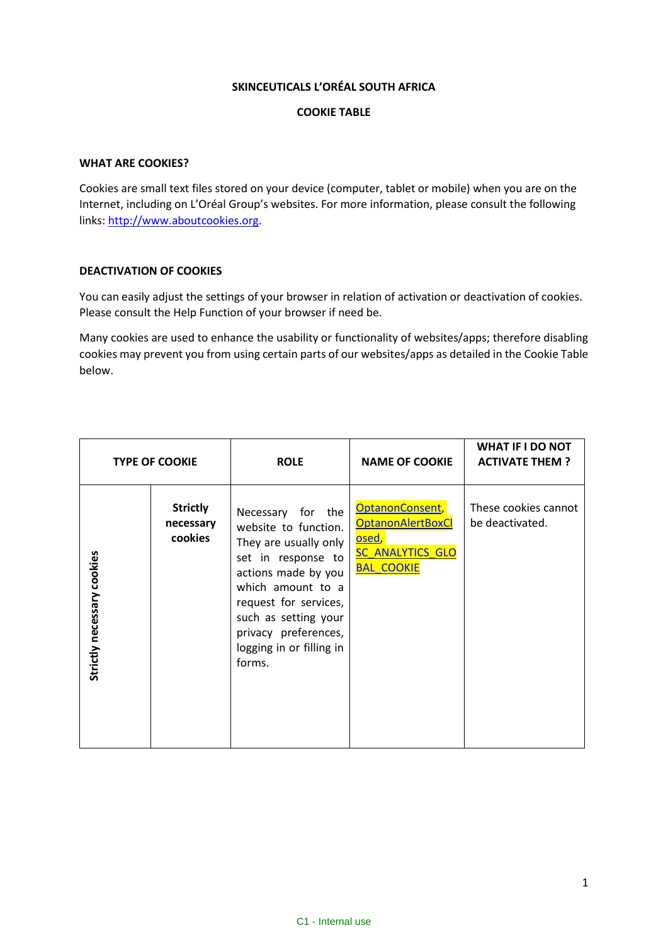## **SKINCEUTICALS L'ORÉAL SOUTH AFRICA**

## **COOKIE TABLE**

## **WHAT ARE COOKIES?**

Cookies are small text files stored on your device (computer, tablet or mobile) when you are on the Internet, including on L'Oréal Group's websites. For more information, please consult the following links: [http://www.aboutcookies.org.](http://www.aboutcookies.org/)

## **DEACTIVATION OF COOKIES**

You can easily adjust the settings of your browser in relation of activation or deactivation of cookies. Please consult the Help Function of your browser if need be.

Many cookies are used to enhance the usability or functionality of websites/apps; therefore disabling cookies may prevent you from using certain parts of our websites/apps as detailed in the Cookie Table below.

| <b>TYPE OF COOKIE</b>      |                                         | <b>ROLE</b>                                                                                                                                                                                                                                         | <b>NAME OF COOKIE</b>                                                                                             | <b>WHAT IF I DO NOT</b><br><b>ACTIVATE THEM?</b> |
|----------------------------|-----------------------------------------|-----------------------------------------------------------------------------------------------------------------------------------------------------------------------------------------------------------------------------------------------------|-------------------------------------------------------------------------------------------------------------------|--------------------------------------------------|
| Strictly necessary cookies | <b>Strictly</b><br>necessary<br>cookies | Necessary for the<br>website to function.<br>They are usually only<br>set in response to<br>actions made by you<br>which amount to a<br>request for services,<br>such as setting your<br>privacy preferences,<br>logging in or filling in<br>forms. | OptanonConsent,<br><b>OptanonAlertBoxCl</b><br><mark>osed,</mark><br><b>SC ANALYTICS GLO</b><br><b>BAL COOKIE</b> | These cookies cannot<br>be deactivated.          |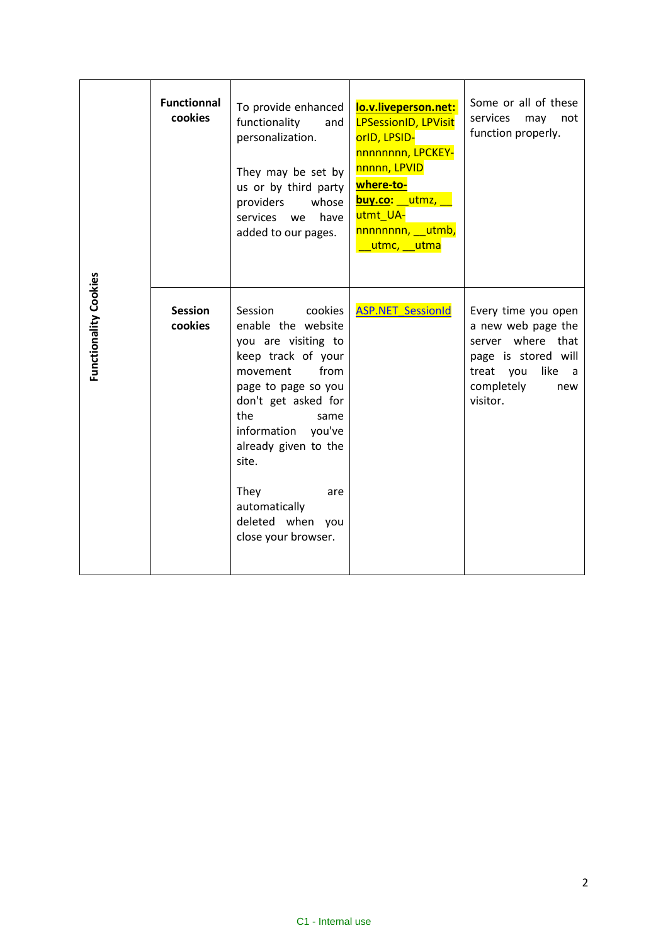| Functionality Cookies | <b>Functionnal</b><br>cookies | To provide enhanced<br>functionality<br>and<br>personalization.<br>They may be set by<br>us or by third party<br>providers<br>whose<br>services we<br>have<br>added to our pages.                                                                                                                        | lo.v.liveperson.net:<br><b>LPSessionID, LPVisit</b><br>orlD, LPSID-<br>nnnnnnnn, LPCKEY-<br>nnnnn, LPVID<br>where-to-<br>buy.co: utmz,<br>utmt UA-<br>nnnnnnnn, utmb,<br>utmc, utma | Some or all of these<br>services<br>may<br>not<br>function properly.                                                                               |
|-----------------------|-------------------------------|----------------------------------------------------------------------------------------------------------------------------------------------------------------------------------------------------------------------------------------------------------------------------------------------------------|-------------------------------------------------------------------------------------------------------------------------------------------------------------------------------------|----------------------------------------------------------------------------------------------------------------------------------------------------|
|                       | <b>Session</b><br>cookies     | Session<br>cookies<br>enable the website<br>you are visiting to<br>keep track of your<br>movement<br>from<br>page to page so you<br>don't get asked for<br>the<br>same<br>information you've<br>already given to the<br>site.<br>They<br>are<br>automatically<br>deleted when you<br>close your browser. | <b>ASP.NET SessionId</b>                                                                                                                                                            | Every time you open<br>a new web page the<br>server where that<br>page is stored will<br>treat you<br>like<br>a -<br>completely<br>new<br>visitor. |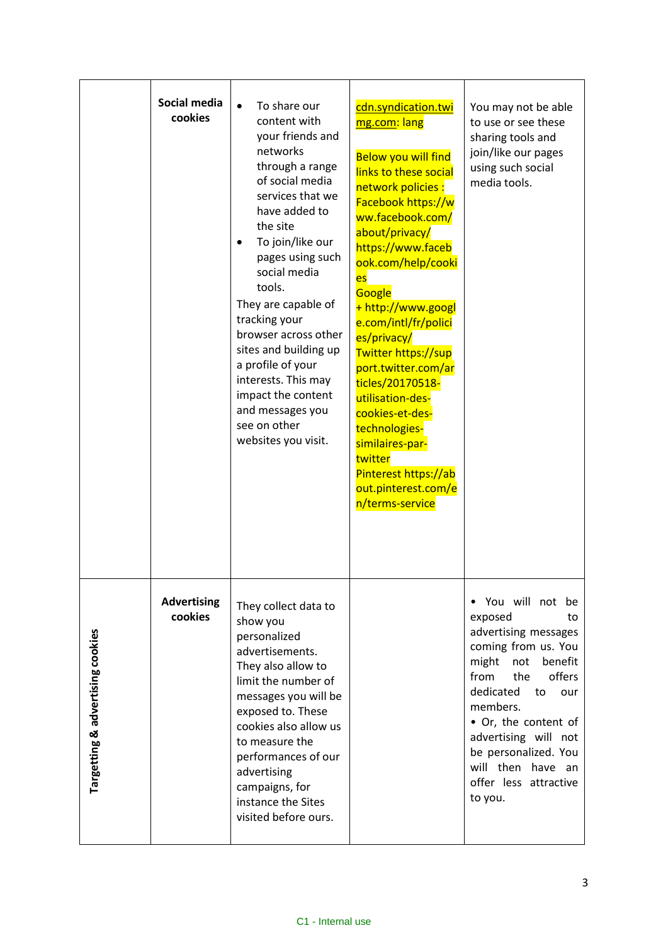|                                  | Social media<br>cookies       | To share our<br>$\bullet$<br>content with<br>your friends and<br>networks<br>through a range<br>of social media<br>services that we<br>have added to<br>the site<br>To join/like our<br>pages using such<br>social media<br>tools.<br>They are capable of<br>tracking your<br>browser across other<br>sites and building up<br>a profile of your<br>interests. This may<br>impact the content<br>and messages you<br>see on other<br>websites you visit. | cdn.syndication.twi<br>mg.com: lang<br><b>Below you will find</b><br>links to these social<br>network policies:<br>Facebook https://w<br>ww.facebook.com/<br>about/privacy/<br>https://www.faceb<br>ook.com/help/cooki<br>es<br>Google<br>+ http://www.googl<br>e.com/intl/fr/polici<br>es/privacy/<br>Twitter https://sup<br>port.twitter.com/ar<br>ticles/20170518-<br>utilisation-des-<br>cookies-et-des-<br>technologies-<br>similaires-par-<br>twitter<br>Pinterest https://ab<br>out.pinterest.com/e<br>n/terms-service | You may not be able<br>to use or see these<br>sharing tools and<br>join/like our pages<br>using such social<br>media tools.                                                                                                                                                                                  |
|----------------------------------|-------------------------------|----------------------------------------------------------------------------------------------------------------------------------------------------------------------------------------------------------------------------------------------------------------------------------------------------------------------------------------------------------------------------------------------------------------------------------------------------------|-------------------------------------------------------------------------------------------------------------------------------------------------------------------------------------------------------------------------------------------------------------------------------------------------------------------------------------------------------------------------------------------------------------------------------------------------------------------------------------------------------------------------------|--------------------------------------------------------------------------------------------------------------------------------------------------------------------------------------------------------------------------------------------------------------------------------------------------------------|
| Targetting & advertising cookies | <b>Advertising</b><br>cookies | They collect data to<br>show you<br>personalized<br>advertisements.<br>They also allow to<br>limit the number of<br>messages you will be<br>exposed to. These<br>cookies also allow us<br>to measure the<br>performances of our<br>advertising<br>campaigns, for<br>instance the Sites<br>visited before ours.                                                                                                                                           |                                                                                                                                                                                                                                                                                                                                                                                                                                                                                                                               | . You will not be<br>exposed<br>to<br>advertising messages<br>coming from us. You<br>might<br>not<br>benefit<br>from<br>offers<br>the<br>dedicated<br>to<br>our<br>members.<br>• Or, the content of<br>advertising will not<br>be personalized. You<br>will then have an<br>offer less attractive<br>to you. |